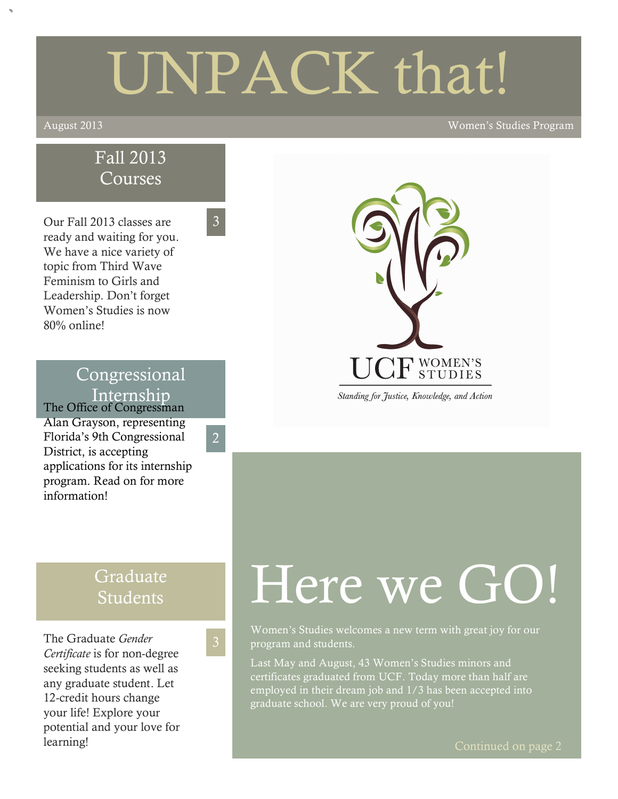# UNPACK that!

#### August 2013 Women's Studies Program

## Fall 2013 Courses

3

2

Our Fall 2013 classes are ready and waiting for you. We have a nice variety of topic from Third Wave Feminism to Girls and Leadership. Don't forget Women's Studies is now 80% online!

# Congressional Internship

The Office of Congressman Alan Grayson, representing Florida's 9th Congressional District, is accepting applications for its internship program. Read on for more information!

# $\mathrm{CF}$  women's

Standing for Justice, Knowledge, and Action

# Graduate Students

The Graduate *Gender Certificate* is for non-degree seeking students as well as any graduate student. Let 12-credit hours change your life! Explore your potential and your love for learning!

# Here we GO!

Women's Studies welcomes a new term with great joy for our program and students.

Last May and August, 43 Women's Studies minors and certificates graduated from UCF. Today more than half are employed in their dream job and 1/3 has been accepted into graduate school. We are very proud of you!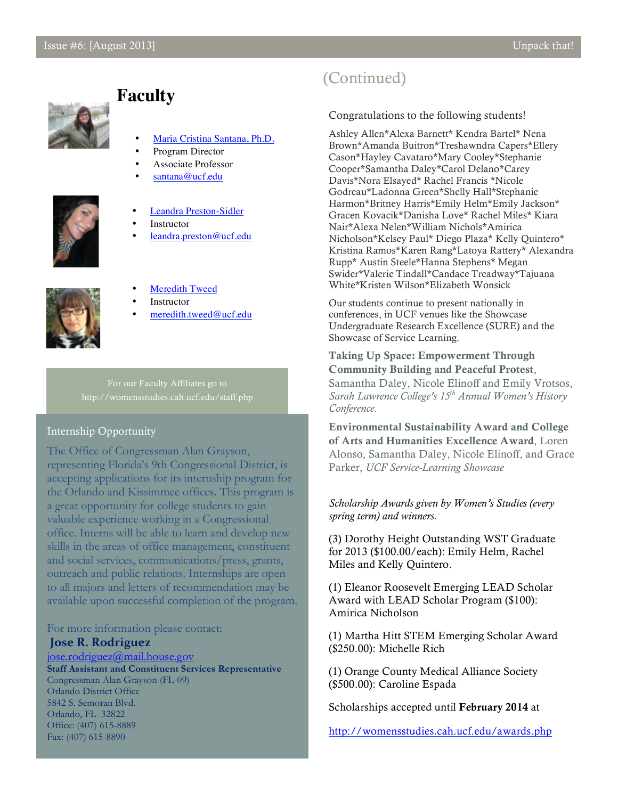

## **Faculty**

- Maria Cristina Santana, Ph.D.
- Program Director
- Associate Professor
- santana@ucf.edu



- Leandra Preston-Sidler
- **Instructor**
- leandra.preston@ucf.edu



- **Meredith Tweed**
- **Instructor**
- meredith.tweed@ucf.edu

For our Faculty Affiliates go to http://womensstudies.cah.ucf.edu/staff.php

#### Internship Opportunity

The Office of Congressman Alan Grayson, representing Florida's 9th Congressional District, is accepting applications for its internship program for the Orlando and Kissimmee offices. This program is a great opportunity for college students to gain valuable experience working in a Congressional office. Interns will be able to learn and develop new skills in the areas of office management, constituent and social services, communications/press, grants, outreach and public relations. Internships are open to all majors and letters of recommendation may be available upon successful completion of the program.

#### For more information please contact:

#### **Jose R. Rodriguez**

jose.rodriguez@mail.house.gov **Staff Assistant and Constituent Services Representative** Congressman Alan Grayson (FL-09) Orlando District Office 5842 S. Semoran Blvd. Orlando, FL 32822 Office: (407) 615-8889 Fax: (407) 615-8890

## (Continued)

#### Congratulations to the following students!

Ashley Allen\*Alexa Barnett\* Kendra Bartel\* Nena Brown\*Amanda Buitron\*Treshawndra Capers\*Ellery Cason\*Hayley Cavataro\*Mary Cooley\*Stephanie Cooper\*Samantha Daley\*Carol Delano\*Carey Davis\*Nora Elsayed\* Rachel Francis \*Nicole Godreau\*Ladonna Green\*Shelly Hall\*Stephanie Harmon\*Britney Harris\*Emily Helm\*Emily Jackson\* Gracen Kovacik\*Danisha Love\* Rachel Miles\* Kiara Nair\*Alexa Nelen\*William Nichols\*Amirica Nicholson\*Kelsey Paul\* Diego Plaza\* Kelly Quintero\* Kristina Ramos\*Karen Rang\*Latoya Rattery\* Alexandra Rupp\* Austin Steele\*Hanna Stephens\* Megan Swider\*Valerie Tindall\*Candace Treadway\*Tajuana White\*Kristen Wilson\*Elizabeth Wonsick

Our students continue to present nationally in conferences, in UCF venues like the Showcase Undergraduate Research Excellence (SURE) and the Showcase of Service Learning.

Taking Up Space: Empowerment Through Community Building and Peaceful Protest, Samantha Daley, Nicole Elinoff and Emily Vrotsos, *Sarah Lawrence College's 15th Annual Women's History Conference.*

Environmental Sustainability Award and College of Arts and Humanities Excellence Award, Loren Alonso, Samantha Daley, Nicole Elinoff, and Grace Parker, *UCF Service-Learning Showcase*

*Scholarship Awards given by Women's Studies (every spring term) and winners.*

(3) Dorothy Height Outstanding WST Graduate for 2013 (\$100.00/each): Emily Helm, Rachel Miles and Kelly Quintero.

(1) Eleanor Roosevelt Emerging LEAD Scholar Award with LEAD Scholar Program (\$100): Amirica Nicholson

(1) Martha Hitt STEM Emerging Scholar Award (\$250.00): Michelle Rich

(1) Orange County Medical Alliance Society (\$500.00): Caroline Espada

Scholarships accepted until February 2014 at

http://womensstudies.cah.ucf.edu/awards.php

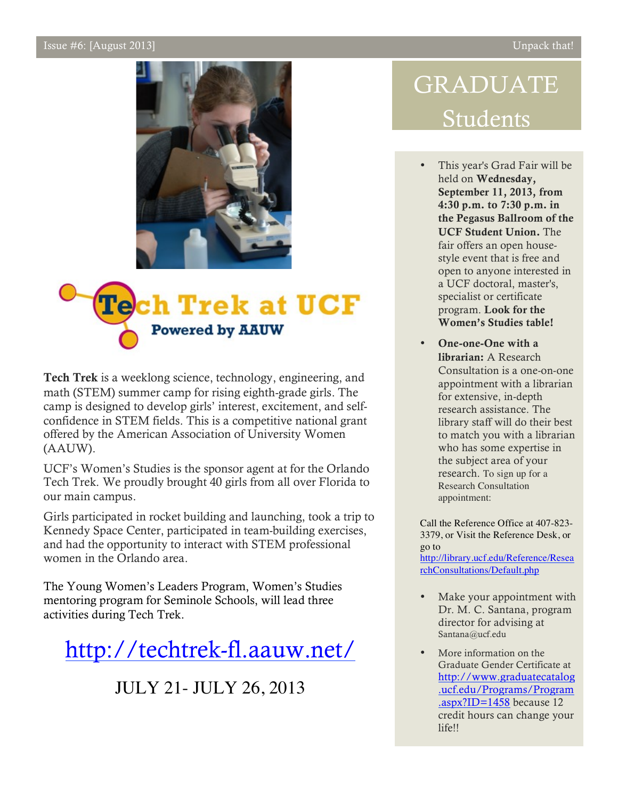#### Issue #6: [August 2013] Unpack that!





Tech Trek is a weeklong science, technology, engineering, and math (STEM) summer camp for rising eighth-grade girls. The camp is designed to develop girls' interest, excitement, and selfconfidence in STEM fields. This is a competitive national grant offered by the American Association of University Women (AAUW).

UCF's Women's Studies is the sponsor agent at for the Orlando Tech Trek. We proudly brought 40 girls from all over Florida to our main campus.

Girls participated in rocket building and launching, took a trip to Kennedy Space Center, participated in team-building exercises, and had the opportunity to interact with STEM professional women in the Orlando area.

The Young Women's Leaders Program, Women's Studies mentoring program for Seminole Schools, will lead three activities during Tech Trek.

http://techtrek-fl.aauw.net/

JULY 21- JULY 26, 2013

# GRADUATE Students

- This year's Grad Fair will be held on Wednesday, September 11, 2013, from 4:30 p.m. to 7:30 p.m. in the Pegasus Ballroom of the UCF Student Union. The fair offers an open housestyle event that is free and open to anyone interested in a UCF doctoral, master's, specialist or certificate program. Look for the Women's Studies table!
- One-one-One with a librarian: A Research Consultation is a one-on-one appointment with a librarian for extensive, in-depth research assistance. The library staff will do their best to match you with a librarian who has some expertise in the subject area of your research. To sign up for a Research Consultation appointment:

Call the Reference Office at 407-823- 3379, or Visit the Reference Desk, or go to

http://library.ucf.edu/Reference/Resea rchConsultations/Default.php

- Make your appointment with Dr. M. C. Santana, program director for advising at Santana@ucf.edu
- More information on the Graduate Gender Certificate at http://www.graduatecatalog .ucf.edu/Programs/Program .aspx?ID=1458 because 12 credit hours can change your life!!